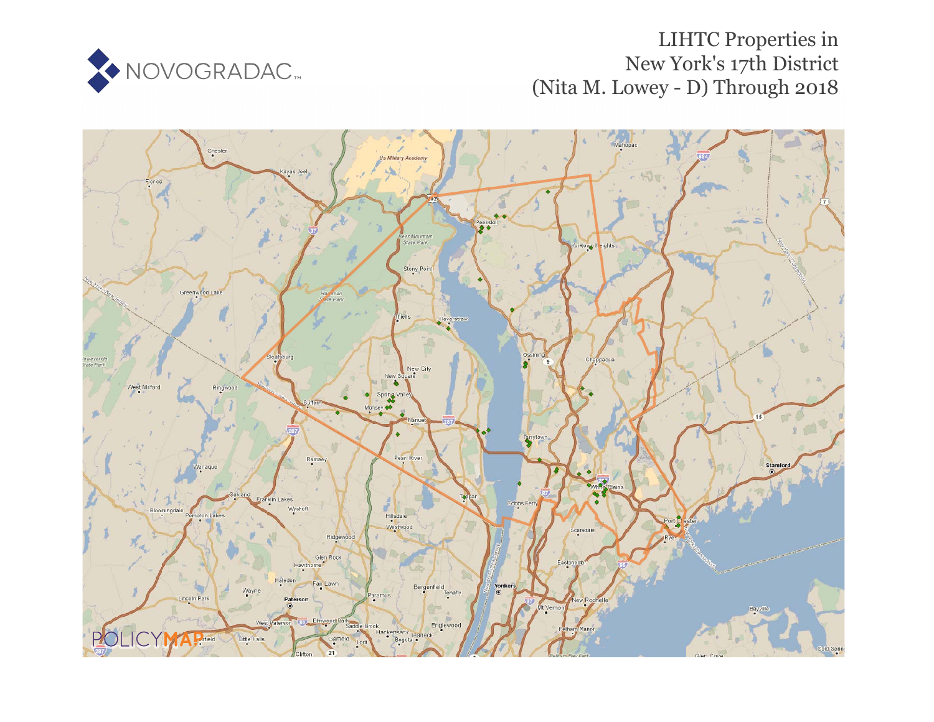

# LIHTC Properties in New York's 17th District (Nita M. Lowey - D) Through 2018

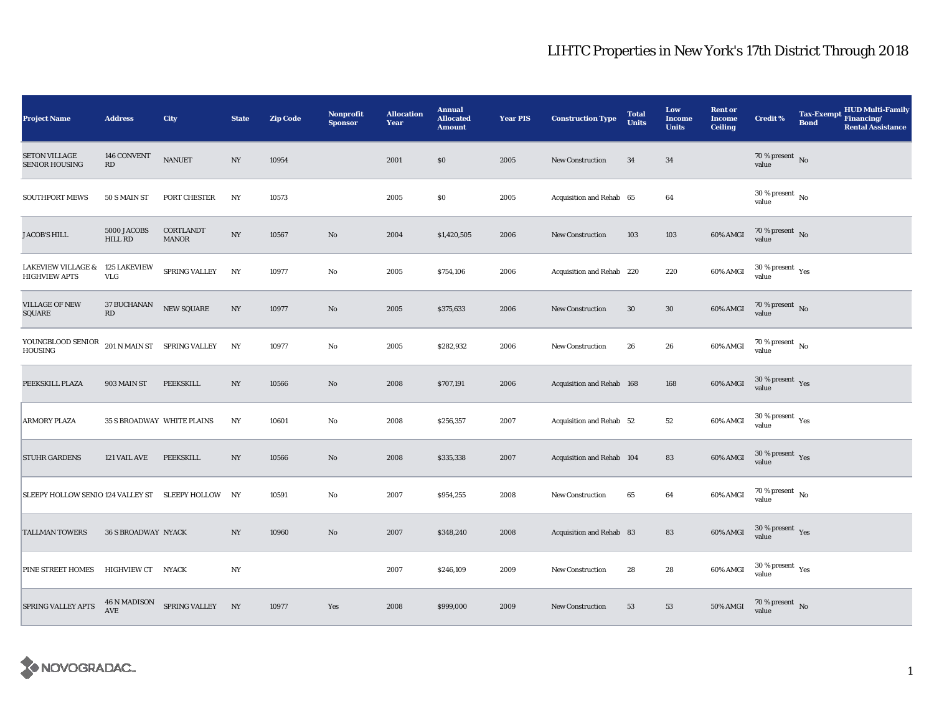| <b>Project Name</b>                                   | <b>Address</b>                               | City                                           | <b>State</b>     | <b>Zip Code</b> | Nonprofit<br><b>Sponsor</b> | <b>Allocation</b><br>Year | <b>Annual</b><br><b>Allocated</b><br><b>Amount</b> | <b>Year PIS</b> | <b>Construction Type</b>  | <b>Total</b><br><b>Units</b> | Low<br><b>Income</b><br><b>Units</b> | <b>Rent or</b><br><b>Income</b><br><b>Ceiling</b> | <b>Credit %</b>                              | <b>HUD Multi-Family</b><br><b>Tax-Exempt</b><br>Financing/<br><b>Bond</b><br><b>Rental Assistance</b> |
|-------------------------------------------------------|----------------------------------------------|------------------------------------------------|------------------|-----------------|-----------------------------|---------------------------|----------------------------------------------------|-----------------|---------------------------|------------------------------|--------------------------------------|---------------------------------------------------|----------------------------------------------|-------------------------------------------------------------------------------------------------------|
| <b>SETON VILLAGE</b><br><b>SENIOR HOUSING</b>         | 146 CONVENT<br>RD                            | <b>NANUET</b>                                  | NY               | 10954           |                             | 2001                      | \$0                                                | 2005            | New Construction          | 34                           | 34                                   |                                                   | $70\,\%$ present $\,$ No value               |                                                                                                       |
| <b>SOUTHPORT MEWS</b>                                 | 50 S MAIN ST                                 | PORT CHESTER                                   | NY               | 10573           |                             | 2005                      | \$0                                                | 2005            | Acquisition and Rehab 65  |                              | 64                                   |                                                   | $30$ % present $\,$ No $\,$<br>value         |                                                                                                       |
| <b>JACOB'S HILL</b>                                   | 5000 JACOBS<br>HILL RD                       | CORTLANDT<br><b>MANOR</b>                      | $_{\mathrm{NY}}$ | 10567           | No                          | 2004                      | \$1,420,505                                        | 2006            | New Construction          | 103                          | 103                                  | 60% AMGI                                          | $70\,\%$ present $\,$ No value               |                                                                                                       |
| <b>LAKEVIEW VILLAGE &amp;</b><br><b>HIGHVIEW APTS</b> | <b>125 LAKEVIEW</b><br><b>VLG</b>            | SPRING VALLEY                                  | NY               | 10977           | $\rm No$                    | 2005                      | \$754,106                                          | 2006            | Acquisition and Rehab 220 |                              | 220                                  | 60% AMGI                                          | $30$ % present $\rm\thinspace\,Yes$<br>value |                                                                                                       |
| <b>VILLAGE OF NEW</b><br>SQUARE                       | <b>37 BUCHANAN</b><br>$\mathbf{R}\mathbf{D}$ | <b>NEW SQUARE</b>                              | $_{\mathrm{NY}}$ | 10977           | $\mathbf{No}$               | 2005                      | \$375,633                                          | 2006            | <b>New Construction</b>   | 30                           | $30\,$                               | 60% AMGI                                          | $70$ % present $\,$ No $\,$<br>value         |                                                                                                       |
| YOUNGBLOOD SENIOR<br><b>HOUSING</b>                   |                                              | 201 N MAIN ST SPRING VALLEY                    | NY               | 10977           | No                          | 2005                      | \$282,932                                          | 2006            | <b>New Construction</b>   | 26                           | 26                                   | 60% AMGI                                          | $70\,\%$ present $\,$ No value               |                                                                                                       |
| PEEKSKILL PLAZA                                       | 903 MAIN ST                                  | PEEKSKILL                                      | $_{\mathrm{NY}}$ | 10566           | $\mathbf{N}\mathbf{o}$      | 2008                      | \$707,191                                          | 2006            | Acquisition and Rehab 168 |                              | 168                                  | 60% AMGI                                          | $30\,\%$ present $\,$ Yes value              |                                                                                                       |
| <b>ARMORY PLAZA</b>                                   | <b>35 S BROADWAY WHITE PLAINS</b>            |                                                | $_{\mathrm{NY}}$ | 10601           | No                          | 2008                      | \$256,357                                          | 2007            | Acquisition and Rehab 52  |                              | $^{\rm 52}$                          | 60% AMGI                                          | $30$ % present $\,$ $\rm Yes$<br>value       |                                                                                                       |
| <b>STUHR GARDENS</b>                                  | 121 VAIL AVE                                 | PEEKSKILL                                      | $_{\mathrm{NY}}$ | 10566           | No                          | 2008                      | \$335,338                                          | 2007            | Acquisition and Rehab 104 |                              | 83                                   | 60% AMGI                                          | $30$ % present $\,$ $\rm Yes$<br>value       |                                                                                                       |
| SLEEPY HOLLOW SENIO 124 VALLEY ST SLEEPY HOLLOW NY    |                                              |                                                |                  | 10591           | $\mathbf{No}$               | 2007                      | \$954,255                                          | 2008            | New Construction          | 65                           | 64                                   | 60% AMGI                                          | 70 % present $\hbox{~No}$<br>value           |                                                                                                       |
| <b>TALLMAN TOWERS</b>                                 | <b>36 S BROADWAY NYACK</b>                   |                                                | $_{\mathrm{NY}}$ | 10960           | No                          | 2007                      | \$348,240                                          | 2008            | Acquisition and Rehab 83  |                              | 83                                   | 60% AMGI                                          | $30$ % present $\,$ $\rm Yes$<br>value       |                                                                                                       |
| PINE STREET HOMES                                     | HIGHVIEW CT NYACK                            |                                                | $_{\mathrm{NY}}$ |                 |                             | 2007                      | \$246,109                                          | 2009            | <b>New Construction</b>   | 28                           | 28                                   | 60% AMGI                                          | $30\,\%$ present $\,$ Yes value              |                                                                                                       |
| <b>SPRING VALLEY APTS</b>                             |                                              | $46$ N MADISON $$\sf{SPRING\;VALEY}\qquad NY$$ |                  | 10977           | Yes                         | 2008                      | \$999,000                                          | 2009            | <b>New Construction</b>   | 53                           | 53                                   | 50% AMGI                                          | $70$ % present $_{\rm{No}}$                  |                                                                                                       |

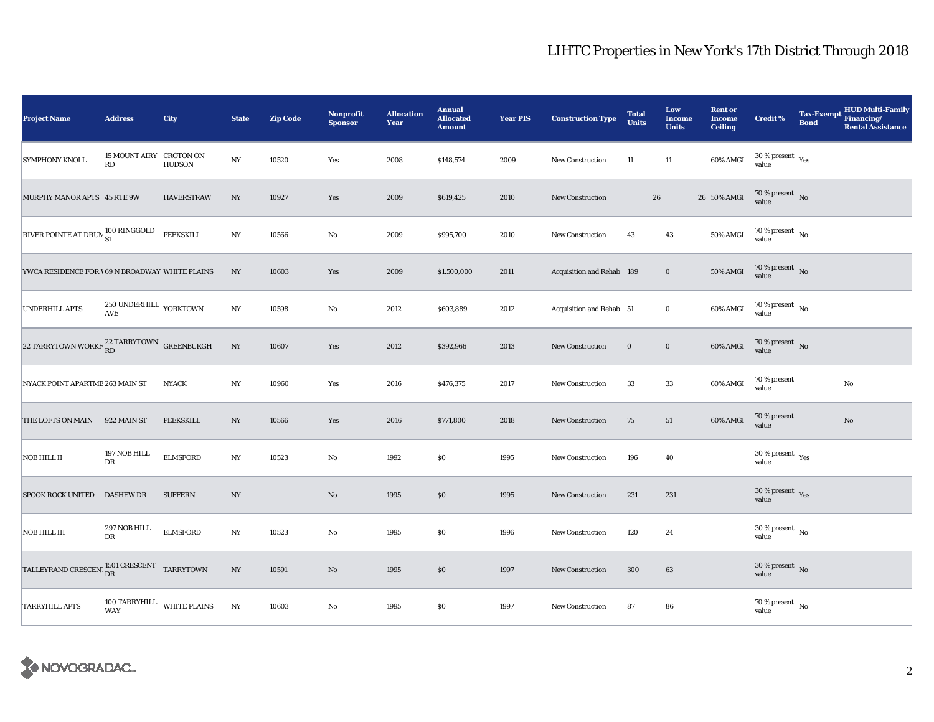| <b>Project Name</b>                                                                                                                         | <b>Address</b>                                                    | City              | <b>State</b>     | <b>Zip Code</b> | <b>Nonprofit</b><br><b>Sponsor</b> | <b>Allocation</b><br>Year | <b>Annual</b><br><b>Allocated</b><br><b>Amount</b> | <b>Year PIS</b> | <b>Construction Type</b>  | <b>Total</b><br><b>Units</b> | Low<br><b>Income</b><br><b>Units</b> | <b>Rent or</b><br><b>Income</b><br><b>Ceiling</b> | <b>Credit %</b>                              | <b>Tax-Exempt</b><br><b>Bond</b> | HUD Multi-Family<br>Financing/<br><b>Rental Assistance</b> |
|---------------------------------------------------------------------------------------------------------------------------------------------|-------------------------------------------------------------------|-------------------|------------------|-----------------|------------------------------------|---------------------------|----------------------------------------------------|-----------------|---------------------------|------------------------------|--------------------------------------|---------------------------------------------------|----------------------------------------------|----------------------------------|------------------------------------------------------------|
| <b>SYMPHONY KNOLL</b>                                                                                                                       | 15 MOUNT AIRY CROTON ON<br>RD                                     | <b>HUDSON</b>     | NY               | 10520           | Yes                                | 2008                      | \$148,574                                          | 2009            | New Construction          | 11                           | 11                                   | 60% AMGI                                          | $30\,\%$ present $\,$ Yes value              |                                  |                                                            |
| MURPHY MANOR APTS 45 RTE 9W                                                                                                                 |                                                                   | <b>HAVERSTRAW</b> | $_{\mathrm{NY}}$ | 10927           | Yes                                | 2009                      | \$619,425                                          | 2010            | <b>New Construction</b>   |                              | ${\bf 26}$                           | 26 50% AMGI                                       | $70\,\%$ present $\,$ No value               |                                  |                                                            |
| RIVER POINTE AT DRUN 100 RINGGOLD                                                                                                           |                                                                   | PEEKSKILL         | $_{\mathrm{NY}}$ | 10566           | $\rm No$                           | 2009                      | \$995,700                                          | 2010            | <b>New Construction</b>   | 43                           | 43                                   | 50% AMGI                                          | $70\,\%$ present $\,$ No value               |                                  |                                                            |
| YWCA RESIDENCE FOR \69 N BROADWAY WHITE PLAINS                                                                                              |                                                                   |                   | NY               | 10603           | Yes                                | 2009                      | \$1,500,000                                        | 2011            | Acquisition and Rehab 189 |                              | $\bf{0}$                             | <b>50% AMGI</b>                                   | $70\,\%$ present $\,$ No value               |                                  |                                                            |
| <b>UNDERHILL APTS</b>                                                                                                                       | $250$ UNDERHILL $\,$ YORKTOWN<br>$\mathbf{A}\mathbf{V}\mathbf{E}$ |                   | $_{\mathrm{NY}}$ | 10598           | $\rm No$                           | 2012                      | \$603,889                                          | 2012            | Acquisition and Rehab 51  |                              | $\bf{0}$                             | 60% AMGI                                          | $70\,\%$ present $\,$ No value               |                                  |                                                            |
| 22 TARRYTOWN WORKF $^{22\, \rm TARRYTOWN}_{\rm RD}$ GREENBURGH                                                                              |                                                                   |                   | $_{\mathrm{NY}}$ | 10607           | Yes                                | 2012                      | \$392,966                                          | 2013            | New Construction          | $\bf{0}$                     | $\mathbf 0$                          | 60% AMGI                                          | $70\,\%$ present $\,$ No value               |                                  |                                                            |
| NYACK POINT APARTME 263 MAIN ST                                                                                                             |                                                                   | <b>NYACK</b>      | $_{\mathrm{NY}}$ | 10960           | Yes                                | 2016                      | \$476,375                                          | 2017            | <b>New Construction</b>   | 33                           | 33                                   | 60% AMGI                                          | 70 % present<br>value                        |                                  | $\rm No$                                                   |
| THE LOFTS ON MAIN                                                                                                                           | 922 MAIN ST                                                       | PEEKSKILL         | NY               | 10566           | Yes                                | 2016                      | \$771,800                                          | 2018            | New Construction          | 75                           | 51                                   | 60% AMGI                                          | 70 % present<br>value                        |                                  | $\mathbf{N}\mathbf{o}$                                     |
| <b>NOB HILL II</b>                                                                                                                          | 197 NOB HILL<br>DR                                                | <b>ELMSFORD</b>   | $_{\mathrm{NY}}$ | 10523           | $\rm No$                           | 1992                      | \$0                                                | 1995            | <b>New Construction</b>   | 196                          | 40                                   |                                                   | $30$ % present $\rm\thinspace\,Yes$<br>value |                                  |                                                            |
| <b>SPOOK ROCK UNITED</b>                                                                                                                    | <b>DASHEW DR</b>                                                  | <b>SUFFERN</b>    | $_{\mathrm{NY}}$ |                 | $\rm No$                           | 1995                      | $\$0$                                              | 1995            | <b>New Construction</b>   | 231                          | 231                                  |                                                   | $30\,\%$ present $\,$ Yes value              |                                  |                                                            |
| <b>NOB HILL III</b>                                                                                                                         | 297 NOB HILL<br><b>DR</b>                                         | <b>ELMSFORD</b>   | NY               | 10523           | No                                 | 1995                      | $\$0$                                              | 1996            | New Construction          | 120                          | 24                                   |                                                   | $30\,\%$ present $\,$ No value               |                                  |                                                            |
| $\boxed{\text{TAILEYRAND CRESCENT}\begin{matrix}1501 \text{ CRESCENT}\\\text{DR}\end{matrix}}\begin{matrix} \text{TARRYTOWN} \end{matrix}}$ |                                                                   |                   | $_{\mathrm{NY}}$ | 10591           | $\rm No$                           | 1995                      | \$0                                                | 1997            | <b>New Construction</b>   | 300                          | 63                                   |                                                   | $30\,\%$ present $\,$ No value               |                                  |                                                            |
| <b>TARRYHILL APTS</b>                                                                                                                       | 100 TARRYHILL WHITE PLAINS<br>WAY                                 |                   | NY               | 10603           | $\rm No$                           | 1995                      | $\$0$                                              | 1997            | New Construction          | 87                           | 86                                   |                                                   | $70\,\%$ present $\,$ No value               |                                  |                                                            |

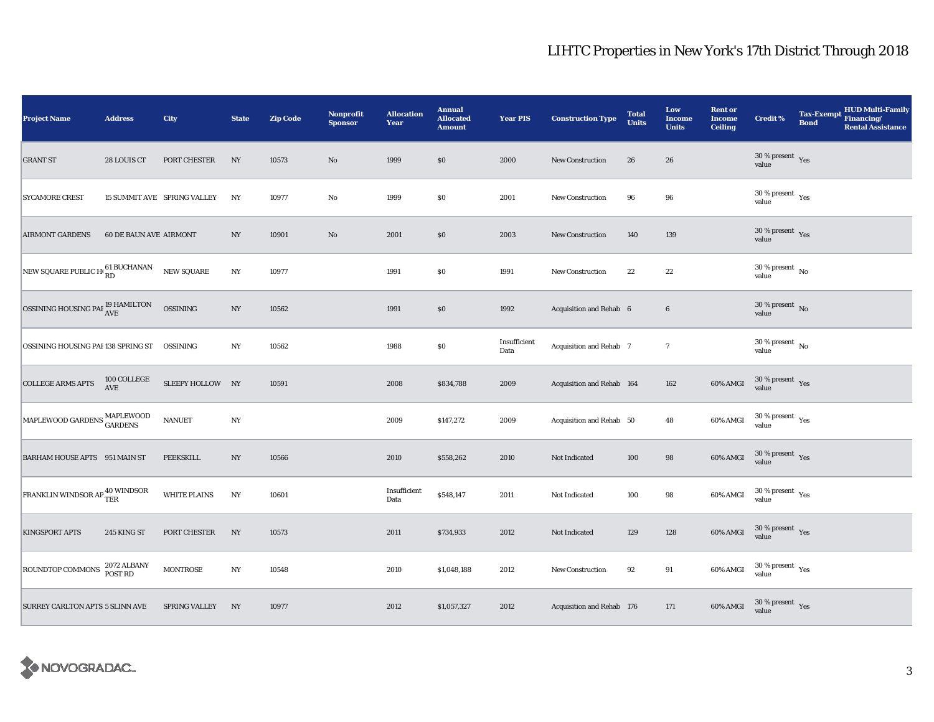| <b>Project Name</b>                          | <b>Address</b>                | <b>City</b>                 | <b>State</b>     | <b>Zip Code</b> | <b>Nonprofit</b><br><b>Sponsor</b> | <b>Allocation</b><br>Year | <b>Annual</b><br><b>Allocated</b><br><b>Amount</b> | <b>Year PIS</b>      | <b>Construction Type</b>  | <b>Total</b><br><b>Units</b> | Low<br><b>Income</b><br><b>Units</b> | <b>Rent or</b><br><b>Income</b><br><b>Ceiling</b> | <b>Credit %</b>                          | <b>HUD Multi-Family</b><br><b>Tax-Exempt</b><br>Financing/<br><b>Bond</b><br><b>Rental Assistance</b> |
|----------------------------------------------|-------------------------------|-----------------------------|------------------|-----------------|------------------------------------|---------------------------|----------------------------------------------------|----------------------|---------------------------|------------------------------|--------------------------------------|---------------------------------------------------|------------------------------------------|-------------------------------------------------------------------------------------------------------|
| <b>GRANT ST</b>                              | 28 LOUIS CT                   | PORT CHESTER                | NY               | 10573           | $\rm No$                           | 1999                      | \$0                                                | 2000                 | <b>New Construction</b>   | 26                           | 26                                   |                                                   | $30\,\%$ present $\,$ Yes value          |                                                                                                       |
| <b>SYCAMORE CREST</b>                        |                               | 15 SUMMIT AVE SPRING VALLEY | NY               | 10977           | No                                 | 1999                      | $\$0$                                              | 2001                 | <b>New Construction</b>   | 96                           | 96                                   |                                                   | $30$ % present $\,$ $\rm Yes$<br>value   |                                                                                                       |
| <b>AIRMONT GARDENS</b>                       | <b>60 DE BAUN AVE AIRMONT</b> |                             | $_{\mathrm{NY}}$ | 10901           | $\rm No$                           | 2001                      | \$0                                                | 2003                 | New Construction          | 140                          | 139                                  |                                                   | $30\,\%$ present $\,$ Yes value          |                                                                                                       |
| NEW SQUARE PUBLIC H <sub>0</sub> 61 BUCHANAN |                               | <b>NEW SQUARE</b>           | $_{\mathrm{NY}}$ | 10977           |                                    | 1991                      | \$0                                                | 1991                 | New Construction          | 22                           | $\bf{22}$                            |                                                   | $30$ % present $\,$ No $\,$<br>value     |                                                                                                       |
| OSSINING HOUSING PAI $^{19}_{\rm{AVE}}$      |                               | <b>OSSINING</b>             | $_{\mathrm{NY}}$ | 10562           |                                    | 1991                      | \$0                                                | 1992                 | Acquisition and Rehab 6   |                              | 6                                    |                                                   | $30\,\%$ present $\,$ No value           |                                                                                                       |
| OSSINING HOUSING PAI 138 SPRING ST  OSSINING |                               |                             | $_{\mathrm{NY}}$ | 10562           |                                    | 1988                      | $\$0$                                              | Insufficient<br>Data | Acquisition and Rehab 7   |                              | $\overline{7}$                       |                                                   | $30\,\%$ present $\,$ No value           |                                                                                                       |
| <b>COLLEGE ARMS APTS</b>                     | $100$ COLLEGE AVE             | SLEEPY HOLLOW NY            |                  | 10591           |                                    | 2008                      | \$834,788                                          | 2009                 | Acquisition and Rehab 164 |                              | 162                                  | 60% AMGI                                          | $30\,\%$ present $\,$ Yes value          |                                                                                                       |
| MAPLEWOOD GARDENS MAPLEWOOD                  |                               | <b>NANUET</b>               | $_{\mathrm{NY}}$ |                 |                                    | 2009                      | \$147,272                                          | 2009                 | Acquisition and Rehab 50  |                              | 48                                   | 60% AMGI                                          | $30\,\%$ present $\,$ $\rm Yes$<br>value |                                                                                                       |
| BARHAM HOUSE APTS 951 MAIN ST                |                               | PEEKSKILL                   | $_{\mathrm{NY}}$ | 10566           |                                    | 2010                      | \$558,262                                          | 2010                 | Not Indicated             | 100                          | 98                                   | $60\%$ AMGI                                       | $30\,\%$ present $\,$ Yes value          |                                                                                                       |
| FRANKLIN WINDSOR AP <sup>40</sup> WINDSOR    |                               | <b>WHITE PLAINS</b>         | N <sub>Y</sub>   | 10601           |                                    | Insufficient<br>Data      | \$548,147                                          | 2011                 | Not Indicated             | 100                          | 98                                   | 60% AMGI                                          | $30\,\%$ present $\,$ Yes value          |                                                                                                       |
| <b>KINGSPORT APTS</b>                        | 245 KING ST                   | PORT CHESTER                | NY               | 10573           |                                    | 2011                      | \$734,933                                          | 2012                 | Not Indicated             | 129                          | 128                                  | 60% AMGI                                          | $30\,\%$ present $\,$ Yes value          |                                                                                                       |
| ROUNDTOP COMMONS 2072 ALBANY                 |                               | <b>MONTROSE</b>             | $_{\mathrm{NY}}$ | 10548           |                                    | 2010                      | \$1,048,188                                        | 2012                 | New Construction          | 92                           | 91                                   | 60% AMGI                                          | $30\,\%$ present $\,$ Yes value          |                                                                                                       |
| SURREY CARLTON APTS 5 SLINN AVE              |                               | <b>SPRING VALLEY</b>        | NY               | 10977           |                                    | 2012                      | \$1,057,327                                        | 2012                 | Acquisition and Rehab 176 |                              | 171                                  | 60% AMGI                                          | $30\,\%$ present $\,$ Yes value          |                                                                                                       |

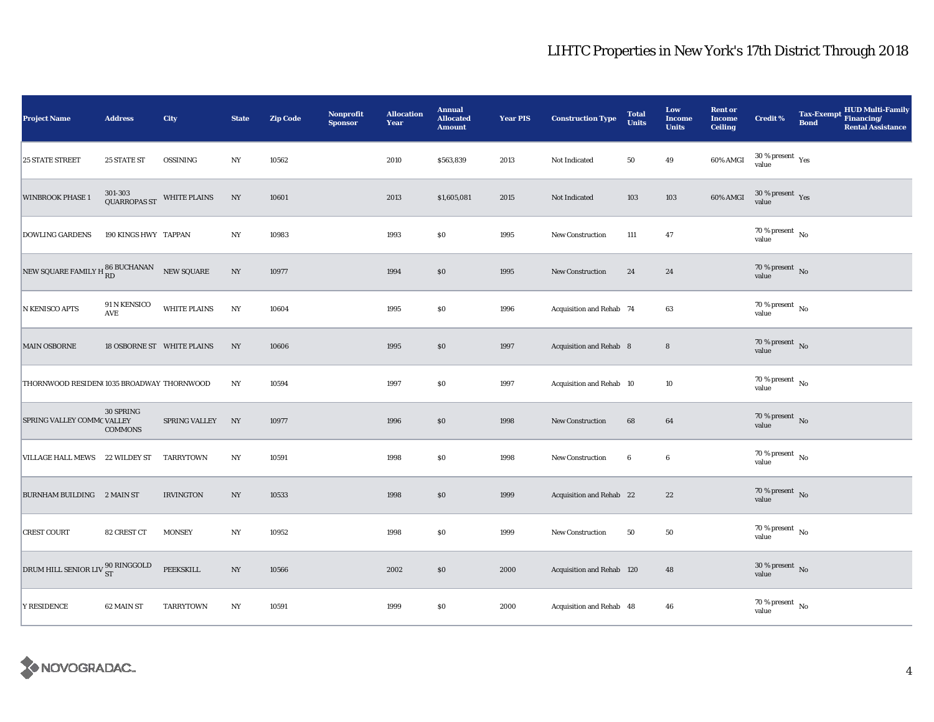| <b>Project Name</b>                                      | <b>Address</b>              | City                       | <b>State</b>     | <b>Zip Code</b> | <b>Nonprofit</b><br><b>Sponsor</b> | <b>Allocation</b><br>Year | <b>Annual</b><br><b>Allocated</b><br><b>Amount</b> | <b>Year PIS</b> | <b>Construction Type</b>  | <b>Total</b><br><b>Units</b> | Low<br><b>Income</b><br><b>Units</b> | <b>Rent or</b><br><b>Income</b><br><b>Ceiling</b> | <b>Credit %</b>                          | <b>Bond</b> | Tax-Exempt HUD Multi-Family<br><b>Rental Assistance</b> |
|----------------------------------------------------------|-----------------------------|----------------------------|------------------|-----------------|------------------------------------|---------------------------|----------------------------------------------------|-----------------|---------------------------|------------------------------|--------------------------------------|---------------------------------------------------|------------------------------------------|-------------|---------------------------------------------------------|
| 25 STATE STREET                                          | <b>25 STATE ST</b>          | OSSINING                   | $_{\mathrm{NY}}$ | 10562           |                                    | 2010                      | \$563,839                                          | 2013            | Not Indicated             | 50                           | 49                                   | 60% AMGI                                          | $30\,\%$ present $\,$ Yes value          |             |                                                         |
| <b>WINBROOK PHASE 1</b>                                  | 301-303<br>QUARROPAS ST     | <b>WHITE PLAINS</b>        | NY               | 10601           |                                    | 2013                      | \$1,605,081                                        | 2015            | Not Indicated             | 103                          | 103                                  | 60% AMGI                                          | $30\,\%$ present $\,$ $\rm Yes$<br>value |             |                                                         |
| <b>DOWLING GARDENS</b>                                   | 190 KINGS HWY TAPPAN        |                            | NY               | 10983           |                                    | 1993                      | \$0                                                | 1995            | New Construction          | 111                          | 47                                   |                                                   | $70$ % present $\,$ No $\,$<br>value     |             |                                                         |
| NEW SQUARE FAMILY H $_{\rm RD}^{86}$ BUCHANAN NEW SQUARE |                             |                            | $_{\mathrm{NY}}$ | 10977           |                                    | 1994                      | $\$0$                                              | 1995            | New Construction          | 24                           | 24                                   |                                                   | $70\,\%$ present $\,$ No value           |             |                                                         |
| N KENISCO APTS                                           | 91 N KENSICO<br>AVE         | <b>WHITE PLAINS</b>        | NY               | 10604           |                                    | 1995                      | $\$0$                                              | 1996            | Acquisition and Rehab 74  |                              | 63                                   |                                                   | $70\,\%$ present $\,$ No value           |             |                                                         |
| <b>MAIN OSBORNE</b>                                      |                             | 18 OSBORNE ST WHITE PLAINS | NY               | 10606           |                                    | 1995                      | \$0                                                | 1997            | Acquisition and Rehab 8   |                              | $\bf8$                               |                                                   | 70 % present $\hbox{~No}$<br>value       |             |                                                         |
| THORNWOOD RESIDEN(1035 BROADWAY THORNWOOD                |                             |                            | NY               | 10594           |                                    | 1997                      | \$0                                                | 1997            | Acquisition and Rehab 10  |                              | 10                                   |                                                   | 70 % present $\hbox{~No}$<br>value       |             |                                                         |
| SPRING VALLEY COMMC VALLEY                               | 30 SPRING<br><b>COMMONS</b> | SPRING VALLEY              | NY               | 10977           |                                    | 1996                      | $\$0$                                              | 1998            | New Construction          | 68                           | 64                                   |                                                   | $70\,\%$ present $\,$ No value           |             |                                                         |
| VILLAGE HALL MEWS 22 WILDEY ST                           |                             | TARRYTOWN                  | NY               | 10591           |                                    | 1998                      | ${\bf S0}$                                         | 1998            | <b>New Construction</b>   | $\boldsymbol{6}$             | $\boldsymbol{6}$                     |                                                   | $70\,\%$ present $\,$ No $\,$<br>value   |             |                                                         |
| BURNHAM BUILDING 2 MAIN ST                               |                             | <b>IRVINGTON</b>           | NY               | 10533           |                                    | 1998                      | \$0                                                | 1999            | Acquisition and Rehab 22  |                              | 22                                   |                                                   | $70\,\%$ present $\,$ No value           |             |                                                         |
| <b>CREST COURT</b>                                       | 82 CREST CT                 | <b>MONSEY</b>              | NY               | 10952           |                                    | 1998                      | $\$0$                                              | 1999            | <b>New Construction</b>   | 50                           | ${\bf 50}$                           |                                                   | $70\,\%$ present $\,$ No value           |             |                                                         |
| DRUM HILL SENIOR LIV <sup>90</sup> RINGGOLD              |                             | PEEKSKILL                  | $_{\mathrm{NY}}$ | 10566           |                                    | 2002                      | \$0                                                | 2000            | Acquisition and Rehab 120 |                              | 48                                   |                                                   | $30\,\%$ present $\,$ No value           |             |                                                         |
| <b>Y RESIDENCE</b>                                       | 62 MAIN ST                  | TARRYTOWN                  | NY               | 10591           |                                    | 1999                      | $\$0$                                              | 2000            | Acquisition and Rehab 48  |                              | 46                                   |                                                   | $70$ % present $\,$ No $\,$<br>value     |             |                                                         |